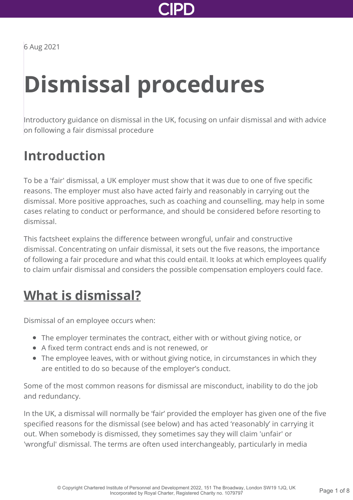

6 Aug 2021

# **Dismissal procedures**

Introductory guidance on dismissal in the UK, focusing on unfair dismissal and with advice on following a fair dismissal procedure

### **Introduction**

To be a 'fair' dismissal, a UK employer must show that it was due to one of five specific reasons. The employer must also have acted fairly and reasonably in carrying out the dismissal. More positive approaches, such as coaching and counselling, may help in some cases relating to conduct or performance, and should be considered before resorting to dismissal.

This factsheet explains the difference between wrongful, unfair and constructive dismissal. Concentrating on unfair dismissal, it sets out the five reasons, the importance of following a fair procedure and what this could entail. It looks at which employees qualify to claim unfair dismissal and considers the possible compensation employers could face.

### **[What is dismissal?](http://www.cipd.co.uk/knowledge/fundamentals/emp-law/dismissal/factsheet?pdf=true#)**

Dismissal of an employee occurs when:

- The employer terminates the contract, either with or without giving notice, or
- A fixed term contract ends and is not renewed, or
- The employee leaves, with or without giving notice, in circumstances in which they are entitled to do so because of the employer's conduct.

Some of the most common reasons for dismissal are misconduct, inability to do the job and redundancy.

In the UK, a dismissal will normally be 'fair' provided the employer has given one of the five specified reasons for the dismissal (see below) and has acted 'reasonably' in carrying it out. When somebody is dismissed, they sometimes say they will claim 'unfair' or 'wrongful' dismissal. The terms are often used interchangeably, particularly in media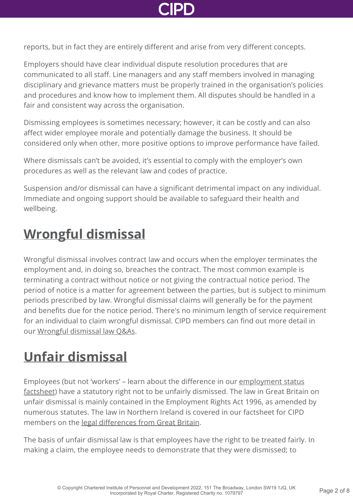

reports, but in fact they are entirely different and arise from very different concepts.

Employers should have clear individual dispute resolution procedures that are communicated to all staff. Line managers and any staff members involved in managing disciplinary and grievance matters must be properly trained in the organisation's policies and procedures and know how to implement them. All disputes should be handled in a fair and consistent way across the organisation.

Dismissing employees is sometimes necessary; however, it can be costly and can also affect wider employee morale and potentially damage the business. It should be considered only when other, more positive options to improve performance have failed.

Where dismissals can't be avoided, it's essential to comply with the employer's own procedures as well as the relevant law and codes of practice.

Suspension and/or dismissal can have a significant detrimental impact on any individual. Immediate and ongoing support should be available to safeguard their health and wellbeing.

### **[Wrongful dismissal](http://www.cipd.co.uk/knowledge/fundamentals/emp-law/dismissal/factsheet?pdf=true#)**

Wrongful dismissal involves contract law and occurs when the employer terminates the employment and, in doing so, breaches the contract. The most common example is terminating a contract without notice or not giving the contractual notice period. The period of notice is a matter for agreement between the parties, but is subject to minimum periods prescribed by law. Wrongful dismissal claims will generally be for the payment and benefits due for the notice period. There's no minimum length of service requirement for an individual to claim wrongful dismissal. CIPD members can find out more detail in our [Wrongful dismissal law Q&As.](http://www.cipd.co.uk/knowledge/fundamentals/emp-law/dismissal/wrongful-dismissal-questions/)

## **[Unfair dismissal](http://www.cipd.co.uk/knowledge/fundamentals/emp-law/dismissal/factsheet?pdf=true#)**

[Employees \(but not 'workers' – learn about the difference in our employment status](http://www.cipd.co.uk/knowledge/fundamentals/emp-law/employees/status-factsheet/) factsheet) have a statutory right not to be unfairly dismissed. The law in Great Britain on unfair dismissal is mainly contained in the Employment Rights Act 1996, as amended by numerous statutes. The law in Northern Ireland is covered in our factsheet for CIPD members on the [legal differences from Great Britain](http://www.cipd.co.uk/knowledge/fundamentals/emp-law/about/northern-ireland-differences-factsheet/).

The basis of unfair dismissal law is that employees have the right to be treated fairly. In making a claim, the employee needs to demonstrate that they were dismissed; to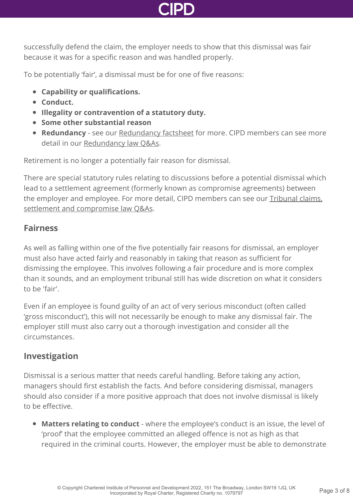

successfully defend the claim, the employer needs to show that this dismissal was fair because it was for a specific reason and was handled properly.

To be potentially 'fair', a dismissal must be for one of five reasons:

- **Capability or qualifications.**
- **Conduct.**
- **Illegality or contravention of a statutory duty.**
- **Some other substantial reason**
- **Redundancy** see our [Redundancy factsheet](http://www.cipd.co.uk/knowledge/fundamentals/emp-law/redundancy/factsheet/) for more. CIPD members can see more detail in our [Redundancy law Q&As](http://www.cipd.co.uk/knowledge/fundamentals/emp-law/redundancy/questions/).

Retirement is no longer a potentially fair reason for dismissal.

There are special statutory rules relating to discussions before a potential dismissal which lead to a settlement agreement (formerly known as compromise agreements) between [the employer and employee. For more detail, CIPD members can see our Tribunal claims,](http://www.cipd.co.uk/knowledge/fundamentals/emp-law/tribunals/questions/) settlement and compromise law Q&As.

#### **Fairness**

As well as falling within one of the five potentially fair reasons for dismissal, an employer must also have acted fairly and reasonably in taking that reason as sufficient for dismissing the employee. This involves following a fair procedure and is more complex than it sounds, and an employment tribunal still has wide discretion on what it considers to be 'fair'.

Even if an employee is found guilty of an act of very serious misconduct (often called 'gross misconduct'), this will not necessarily be enough to make any dismissal fair. The employer still must also carry out a thorough investigation and consider all the circumstances.

#### **Investigation**

Dismissal is a serious matter that needs careful handling. Before taking any action, managers should first establish the facts. And before considering dismissal, managers should also consider if a more positive approach that does not involve dismissal is likely to be effective.

**Matters relating to conduct** - where the employee's conduct is an issue, the level of 'proof' that the employee committed an alleged offence is not as high as that required in the criminal courts. However, the employer must be able to demonstrate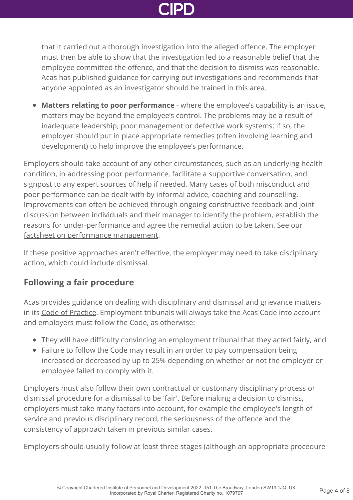that it carried out a thorough investigation into the alleged offence. The employer must then be able to show that the investigation led to a reasonable belief that the employee committed the offence, and that the decision to dismiss was reasonable. [Acas has published guidance](http://www.acas.org.uk/media/pdf/o/5/Conducting-workplace-investigations.pdf) for carrying out investigations and recommends that anyone appointed as an investigator should be trained in this area.

**Matters relating to poor performance** - where the employee's capability is an issue, matters may be beyond the employee's control. The problems may be a result of inadequate leadership, poor management or defective work systems; if so, the employer should put in place appropriate remedies (often involving learning and development) to help improve the employee's performance.

Employers should take account of any other circumstances, such as an underlying health condition, in addressing poor performance, facilitate a supportive conversation, and signpost to any expert sources of help if needed. Many cases of both misconduct and poor performance can be dealt with by informal advice, coaching and counselling. Improvements can often be achieved through ongoing constructive feedback and joint discussion between individuals and their manager to identify the problem, establish the reasons for under-performance and agree the remedial action to be taken. See our [factsheet on performance management](http://www.cipd.co.uk/knowledge/fundamentals/people/performance/factsheet/).

[If these positive approaches aren't effective, the employer may need to take disciplinary](http://www.cipd.co.uk/knowledge/fundamentals/emp-law/discipline/factsheet/) action, which could include dismissal.

#### **Following a fair procedure**

Acas provides guidance on dealing with disciplinary and dismissal and grievance matters in its [Code of Practice](http://www.acas.org.uk/index.aspx?articleid=2174). Employment tribunals will always take the Acas Code into account and employers must follow the Code, as otherwise:

- They will have difficulty convincing an employment tribunal that they acted fairly, and
- Failure to follow the Code may result in an order to pay compensation being increased or decreased by up to 25% depending on whether or not the employer or employee failed to comply with it.

Employers must also follow their own contractual or customary disciplinary process or dismissal procedure for a dismissal to be 'fair'. Before making a decision to dismiss, employers must take many factors into account, for example the employee's length of service and previous disciplinary record, the seriousness of the offence and the consistency of approach taken in previous similar cases.

Employers should usually follow at least three stages (although an appropriate procedure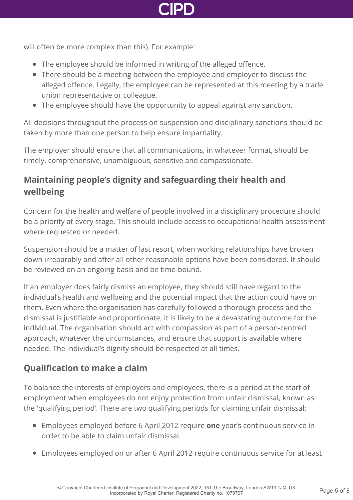

will often be more complex than this). For example:

- The employee should be informed in writing of the alleged offence.
- There should be a meeting between the employee and employer to discuss the alleged offence. Legally, the employee can be represented at this meeting by a trade union representative or colleague.
- The employee should have the opportunity to appeal against any sanction.

All decisions throughout the process on suspension and disciplinary sanctions should be taken by more than one person to help ensure impartiality.

The employer should ensure that all communications, in whatever format, should be timely, comprehensive, unambiguous, sensitive and compassionate.

### **Maintaining people's dignity and safeguarding their health and wellbeing**

Concern for the health and welfare of people involved in a disciplinary procedure should be a priority at every stage. This should include access to occupational health assessment where requested or needed.

Suspension should be a matter of last resort, when working relationships have broken down irreparably and after all other reasonable options have been considered. It should be reviewed on an ongoing basis and be time-bound.

If an employer does fairly dismiss an employee, they should still have regard to the individual's health and wellbeing and the potential impact that the action could have on them. Even where the organisation has carefully followed a thorough process and the dismissal is justifiable and proportionate, it is likely to be a devastating outcome for the individual. The organisation should act with compassion as part of a person-centred approach, whatever the circumstances, and ensure that support is available where needed. The individual's dignity should be respected at all times.

#### **Qualification to make a claim**

To balance the interests of employers and employees, there is a period at the start of employment when employees do not enjoy protection from unfair dismissal, known as the 'qualifying period'. There are two qualifying periods for claiming unfair dismissal:

- Employees employed before 6 April 2012 require **one** year's continuous service in order to be able to claim unfair dismissal.
- Employees employed on or after 6 April 2012 require continuous service for at least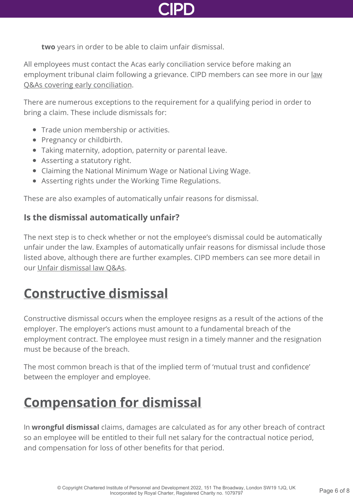

**two** years in order to be able to claim unfair dismissal.

All employees must contact the Acas early conciliation service before making an [employment tribunal claim following a grievance. CIPD members can see more in our law](http://www.cipd.co.uk/knowledge/fundamentals/emp-law/tribunals/questions/) Q&As covering early conciliation.

There are numerous exceptions to the requirement for a qualifying period in order to bring a claim. These include dismissals for:

- Trade union membership or activities.
- Pregnancy or childbirth.
- Taking maternity, adoption, paternity or parental leave.
- Asserting a statutory right.
- Claiming the National Minimum Wage or National Living Wage.
- Asserting rights under the Working Time Regulations.

These are also examples of automatically unfair reasons for dismissal.

#### **Is the dismissal automatically unfair?**

The next step is to check whether or not the employee's dismissal could be automatically unfair under the law. Examples of automatically unfair reasons for dismissal include those listed above, although there are further examples. CIPD members can see more detail in our [Unfair dismissal law Q&As](http://www.cipd.co.uk/knowledge/fundamentals/emp-law/dismissal/unfair-dismissal-questions/).

### **[Constructive dismissal](http://www.cipd.co.uk/knowledge/fundamentals/emp-law/dismissal/factsheet?pdf=true#)**

Constructive dismissal occurs when the employee resigns as a result of the actions of the employer. The employer's actions must amount to a fundamental breach of the employment contract. The employee must resign in a timely manner and the resignation must be because of the breach.

The most common breach is that of the implied term of 'mutual trust and confidence' between the employer and employee.

### **[Compensation for dismissal](http://www.cipd.co.uk/knowledge/fundamentals/emp-law/dismissal/factsheet?pdf=true#)**

In **wrongful dismissal** claims, damages are calculated as for any other breach of contract so an employee will be entitled to their full net salary for the contractual notice period, and compensation for loss of other benefits for that period.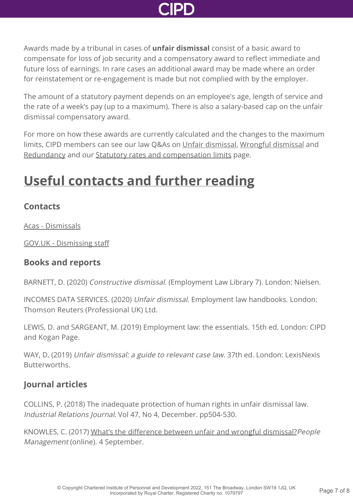

Awards made by a tribunal in cases of **unfair dismissal** consist of a basic award to compensate for loss of job security and a compensatory award to reflect immediate and future loss of earnings. In rare cases an additional award may be made where an order for reinstatement or re-engagement is made but not complied with by the employer.

The amount of a statutory payment depends on an employee's age, length of service and the rate of a week's pay (up to a maximum). There is also a salary-based cap on the unfair dismissal compensatory award.

For more on how these awards are currently calculated and the changes to the maximum limits, CIPD members can see our law Q&As on [Unfair dismissal](http://www.cipd.co.uk/knowledge/fundamentals/emp-law/dismissal/unfair-dismissal-questions/), [Wrongful dismissal](http://www.cipd.co.uk/knowledge/fundamentals/emp-law/dismissal/wrongful-dismissal-questions/) and [Redundancy](http://www.cipd.co.uk/knowledge/fundamentals/emp-law/redundancy/questions/) and our [Statutory rates and compensation limits](http://www.cipd.co.uk/knowledge/fundamentals/emp-law/about/statutory-rates/) page.

## **[Useful contacts and further reading](http://www.cipd.co.uk/knowledge/fundamentals/emp-law/dismissal/factsheet?pdf=true#)**

#### **Contacts**

[Acas - Dismissals](https://www.acas.org.uk/dismissals)

[GOV.UK - Dismissing staff](https://www.gov.uk/dismiss-staff)

#### **Books and reports**

BARNETT, D. (2020) Constructive dismissal. (Employment Law Library 7). London: Nielsen.

INCOMES DATA SERVICES. (2020) Unfair dismissal. Employment law handbooks. London: Thomson Reuters (Professional UK) Ltd.

LEWIS, D. and SARGEANT, M. (2019) Employment law: the essentials. 15th ed. London: CIPD and Kogan Page.

WAY, D. (2019) Unfair dismissal: a guide to relevant case law. 37th ed. London: LexisNexis Butterworths.

#### **Journal articles**

COLLINS, P. (2018) The inadequate protection of human rights in unfair dismissal law. Industrial Relations Journal. Vol 47, No 4, December. pp504-530.

KNOWLES, C. (2017) [What's the difference between unfair and wrongful dismissal?](https://www.peoplemanagement.co.uk/experts/legal/unfair-dismissal-wrongful-dismissal-differences)People Management (online). 4 September.